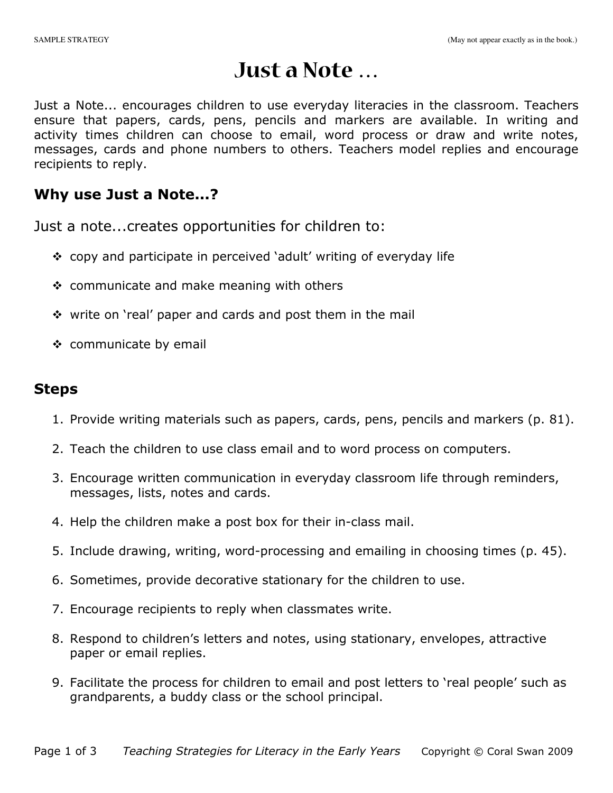# **Just a Note …**

Just a Note... encourages children to use everyday literacies in the classroom. Teachers ensure that papers, cards, pens, pencils and markers are available. In writing and activity times children can choose to email, word process or draw and write notes, messages, cards and phone numbers to others. Teachers model replies and encourage recipients to reply.

## Why use Just a Note...?

Just a note...creates opportunities for children to:

- copy and participate in perceived 'adult' writing of everyday life
- $\div$  communicate and make meaning with others
- $\div$  write on 'real' paper and cards and post them in the mail
- ❖ communicate by email

## Steps

- 1. Provide writing materials such as papers, cards, pens, pencils and markers (p. 81).
- 2. Teach the children to use class email and to word process on computers.
- 3. Encourage written communication in everyday classroom life through reminders, messages, lists, notes and cards.
- 4. Help the children make a post box for their in-class mail.
- 5. Include drawing, writing, word-processing and emailing in choosing times (p. 45).
- 6. Sometimes, provide decorative stationary for the children to use.
- 7. Encourage recipients to reply when classmates write.
- 8. Respond to children's letters and notes, using stationary, envelopes, attractive paper or email replies.
- 9. Facilitate the process for children to email and post letters to 'real people' such as grandparents, a buddy class or the school principal.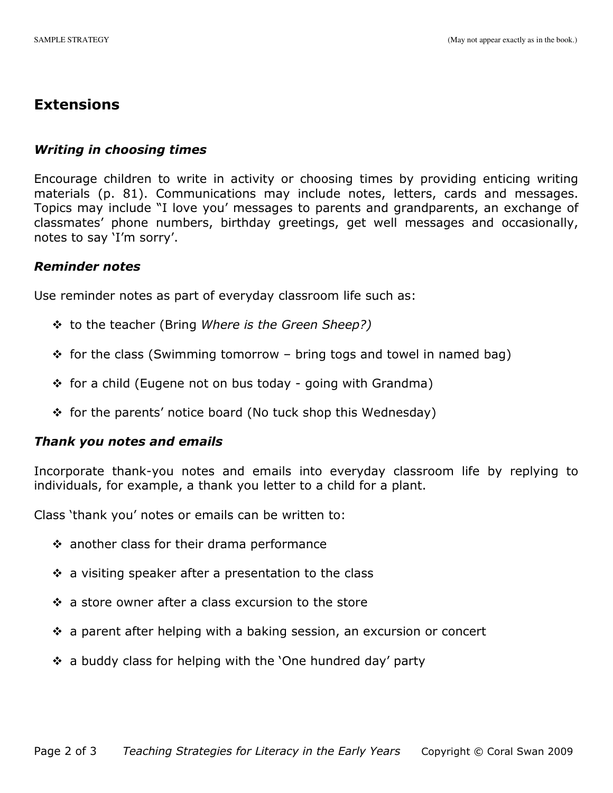### **Extensions**

#### Writing in choosing times

Encourage children to write in activity or choosing times by providing enticing writing materials (p. 81). Communications may include notes, letters, cards and messages. Topics may include "I love you' messages to parents and grandparents, an exchange of classmates' phone numbers, birthday greetings, get well messages and occasionally, notes to say 'I'm sorry'.

#### Reminder notes

Use reminder notes as part of everyday classroom life such as:

- $\div$  to the teacher (Bring Where is the Green Sheep?)
- $\div$  for the class (Swimming tomorrow bring togs and towel in named bag)
- $\div$  for a child (Eugene not on bus today going with Grandma)
- $\div$  for the parents' notice board (No tuck shop this Wednesday)

#### Thank you notes and emails

Incorporate thank-you notes and emails into everyday classroom life by replying to individuals, for example, a thank you letter to a child for a plant.

Class 'thank you' notes or emails can be written to:

- $\cdot$  another class for their drama performance
- $\cdot$  a visiting speaker after a presentation to the class
- $\div$  a store owner after a class excursion to the store
- $\cdot$  a parent after helping with a baking session, an excursion or concert
- $\div$  a buddy class for helping with the 'One hundred day' party